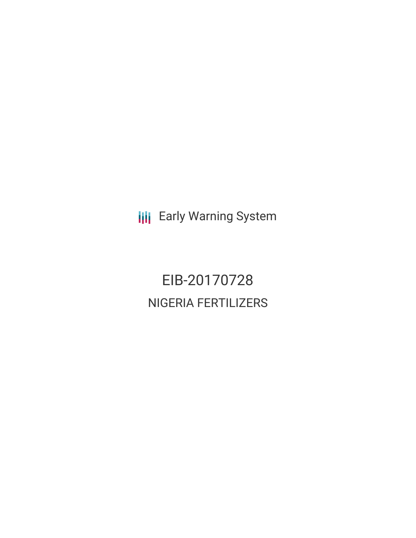**III** Early Warning System

EIB-20170728 NIGERIA FERTILIZERS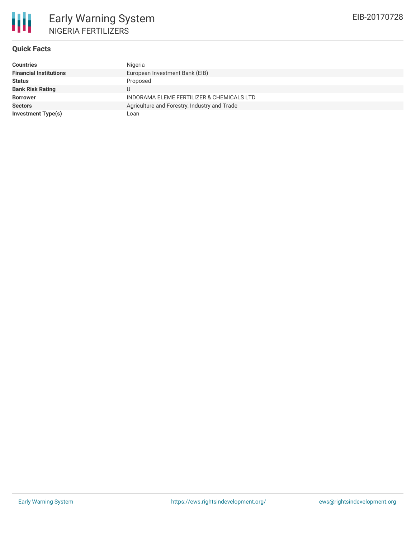

### **Quick Facts**

| <b>Countries</b>              | Nigeria                                      |
|-------------------------------|----------------------------------------------|
| <b>Financial Institutions</b> | European Investment Bank (EIB)               |
| <b>Status</b>                 | Proposed                                     |
| <b>Bank Risk Rating</b>       | U                                            |
| <b>Borrower</b>               | INDORAMA ELEME FERTILIZER & CHEMICALS LTD    |
| <b>Sectors</b>                | Agriculture and Forestry, Industry and Trade |
| <b>Investment Type(s)</b>     | Loan                                         |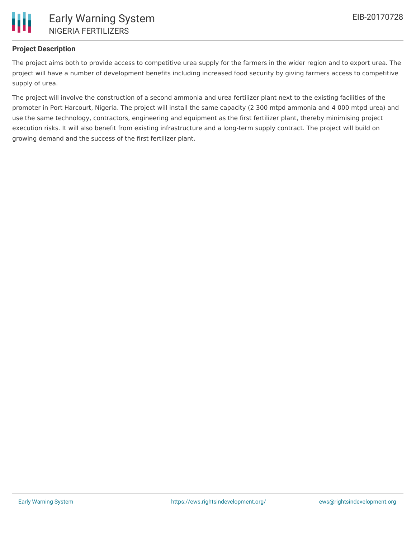

### **Project Description**

The project aims both to provide access to competitive urea supply for the farmers in the wider region and to export urea. The project will have a number of development benefits including increased food security by giving farmers access to competitive supply of urea.

The project will involve the construction of a second ammonia and urea fertilizer plant next to the existing facilities of the promoter in Port Harcourt, Nigeria. The project will install the same capacity (2 300 mtpd ammonia and 4 000 mtpd urea) and use the same technology, contractors, engineering and equipment as the first fertilizer plant, thereby minimising project execution risks. It will also benefit from existing infrastructure and a long-term supply contract. The project will build on growing demand and the success of the first fertilizer plant.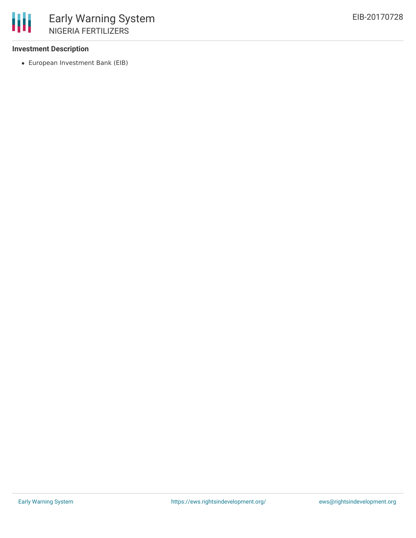### **Investment Description**

European Investment Bank (EIB)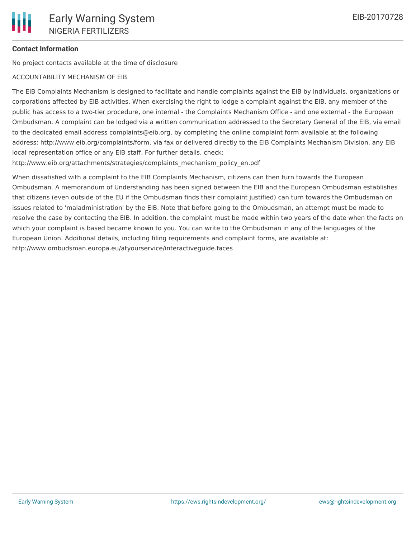## **Contact Information**

No project contacts available at the time of disclosure

# ACCOUNTABILITY MECHANISM OF EIB

The EIB Complaints Mechanism is designed to facilitate and handle complaints against the EIB by individuals, organizations or corporations affected by EIB activities. When exercising the right to lodge a complaint against the EIB, any member of the public has access to a two-tier procedure, one internal - the Complaints Mechanism Office - and one external - the European Ombudsman. A complaint can be lodged via a written communication addressed to the Secretary General of the EIB, via email to the dedicated email address complaints@eib.org, by completing the online complaint form available at the following address: http://www.eib.org/complaints/form, via fax or delivered directly to the EIB Complaints Mechanism Division, any EIB local representation office or any EIB staff. For further details, check:

http://www.eib.org/attachments/strategies/complaints\_mechanism\_policy\_en.pdf

When dissatisfied with a complaint to the EIB Complaints Mechanism, citizens can then turn towards the European Ombudsman. A memorandum of Understanding has been signed between the EIB and the European Ombudsman establishes that citizens (even outside of the EU if the Ombudsman finds their complaint justified) can turn towards the Ombudsman on issues related to 'maladministration' by the EIB. Note that before going to the Ombudsman, an attempt must be made to resolve the case by contacting the EIB. In addition, the complaint must be made within two years of the date when the facts on which your complaint is based became known to you. You can write to the Ombudsman in any of the languages of the European Union. Additional details, including filing requirements and complaint forms, are available at: http://www.ombudsman.europa.eu/atyourservice/interactiveguide.faces